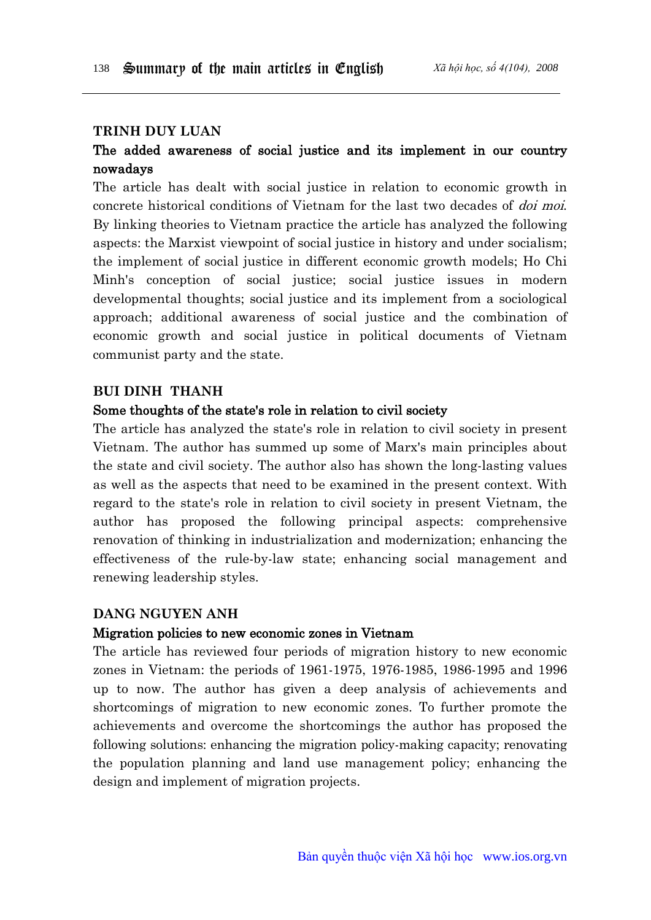## **Trinh duy luan**

# The added awareness of social justice and its implement in our country nowadays

The article has dealt with social justice in relation to economic growth in concrete historical conditions of Vietnam for the last two decades of doi moi. By linking theories to Vietnam practice the article has analyzed the following aspects: the Marxist viewpoint of social justice in history and under socialism; the implement of social justice in different economic growth models; Ho Chi Minh's conception of social justice; social justice issues in modern developmental thoughts; social justice and its implement from a sociological approach; additional awareness of social justice and the combination of economic growth and social justice in political documents of Vietnam communist party and the state.

#### **bui dinh thanh**

#### Some thoughts of the state's role in relation to civil society

The article has analyzed the state's role in relation to civil society in present Vietnam. The author has summed up some of Marx's main principles about the state and civil society. The author also has shown the long-lasting values as well as the aspects that need to be examined in the present context. With regard to the state's role in relation to civil society in present Vietnam, the author has proposed the following principal aspects: comprehensive renovation of thinking in industrialization and modernization; enhancing the effectiveness of the rule-by-law state; enhancing social management and renewing leadership styles.

## **dang Nguyen anh**

#### Migration policies to new economic zones in Vietnam

The article has reviewed four periods of migration history to new economic zones in Vietnam: the periods of 1961-1975, 1976-1985, 1986-1995 and 1996 up to now. The author has given a deep analysis of achievements and shortcomings of migration to new economic zones. To further promote the achievements and overcome the shortcomings the author has proposed the following solutions: enhancing the migration policy-making capacity; renovating the population planning and land use management policy; enhancing the design and implement of migration projects.